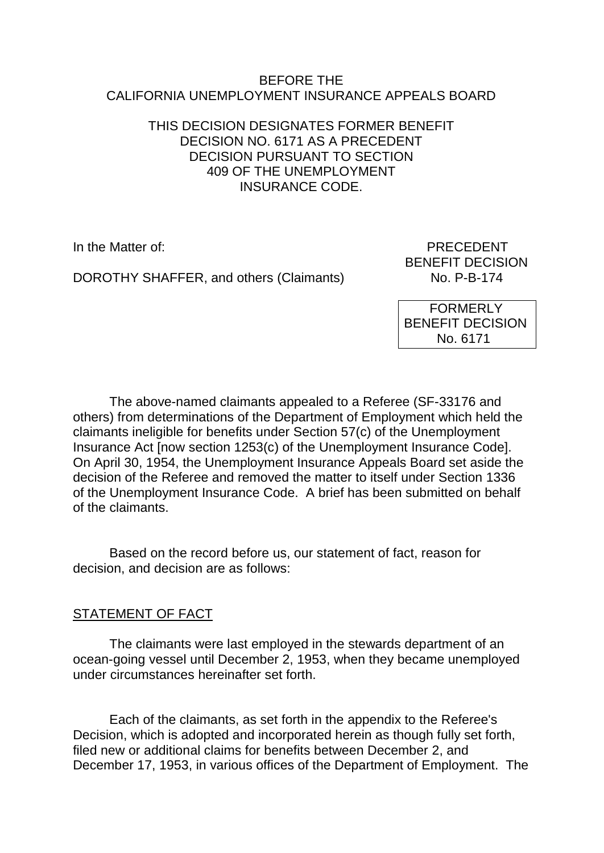### BEFORE THE CALIFORNIA UNEMPLOYMENT INSURANCE APPEALS BOARD

### THIS DECISION DESIGNATES FORMER BENEFIT DECISION NO. 6171 AS A PRECEDENT DECISION PURSUANT TO SECTION 409 OF THE UNEMPLOYMENT INSURANCE CODE.

DOROTHY SHAFFER, and others (Claimants)

In the Matter of: PRECEDENT BENEFIT DECISION<br>No. P-B-174

> FORMERLY BENEFIT DECISION No. 6171

The above-named claimants appealed to a Referee (SF-33176 and others) from determinations of the Department of Employment which held the claimants ineligible for benefits under Section 57(c) of the Unemployment Insurance Act [now section 1253(c) of the Unemployment Insurance Code]. On April 30, 1954, the Unemployment Insurance Appeals Board set aside the decision of the Referee and removed the matter to itself under Section 1336 of the Unemployment Insurance Code. A brief has been submitted on behalf of the claimants.

Based on the record before us, our statement of fact, reason for decision, and decision are as follows:

## STATEMENT OF FACT

The claimants were last employed in the stewards department of an ocean-going vessel until December 2, 1953, when they became unemployed under circumstances hereinafter set forth.

Each of the claimants, as set forth in the appendix to the Referee's Decision, which is adopted and incorporated herein as though fully set forth, filed new or additional claims for benefits between December 2, and December 17, 1953, in various offices of the Department of Employment. The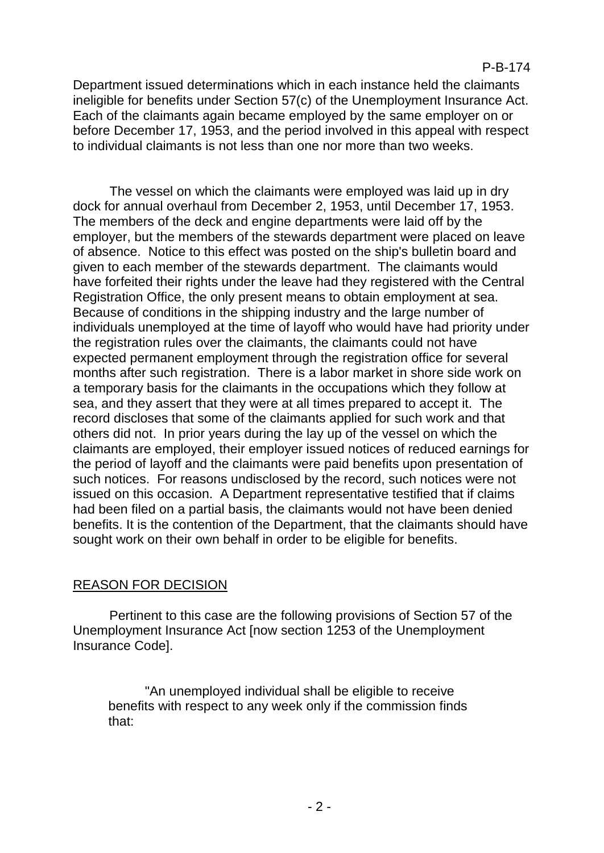Department issued determinations which in each instance held the claimants ineligible for benefits under Section 57(c) of the Unemployment Insurance Act. Each of the claimants again became employed by the same employer on or before December 17, 1953, and the period involved in this appeal with respect to individual claimants is not less than one nor more than two weeks.

The vessel on which the claimants were employed was laid up in dry dock for annual overhaul from December 2, 1953, until December 17, 1953. The members of the deck and engine departments were laid off by the employer, but the members of the stewards department were placed on leave of absence. Notice to this effect was posted on the ship's bulletin board and given to each member of the stewards department. The claimants would have forfeited their rights under the leave had they registered with the Central Registration Office, the only present means to obtain employment at sea. Because of conditions in the shipping industry and the large number of individuals unemployed at the time of layoff who would have had priority under the registration rules over the claimants, the claimants could not have expected permanent employment through the registration office for several months after such registration. There is a labor market in shore side work on a temporary basis for the claimants in the occupations which they follow at sea, and they assert that they were at all times prepared to accept it. The record discloses that some of the claimants applied for such work and that others did not. In prior years during the lay up of the vessel on which the claimants are employed, their employer issued notices of reduced earnings for the period of layoff and the claimants were paid benefits upon presentation of such notices. For reasons undisclosed by the record, such notices were not issued on this occasion. A Department representative testified that if claims had been filed on a partial basis, the claimants would not have been denied benefits. It is the contention of the Department, that the claimants should have sought work on their own behalf in order to be eligible for benefits.

# REASON FOR DECISION

Pertinent to this case are the following provisions of Section 57 of the Unemployment Insurance Act [now section 1253 of the Unemployment Insurance Code].

"An unemployed individual shall be eligible to receive benefits with respect to any week only if the commission finds that: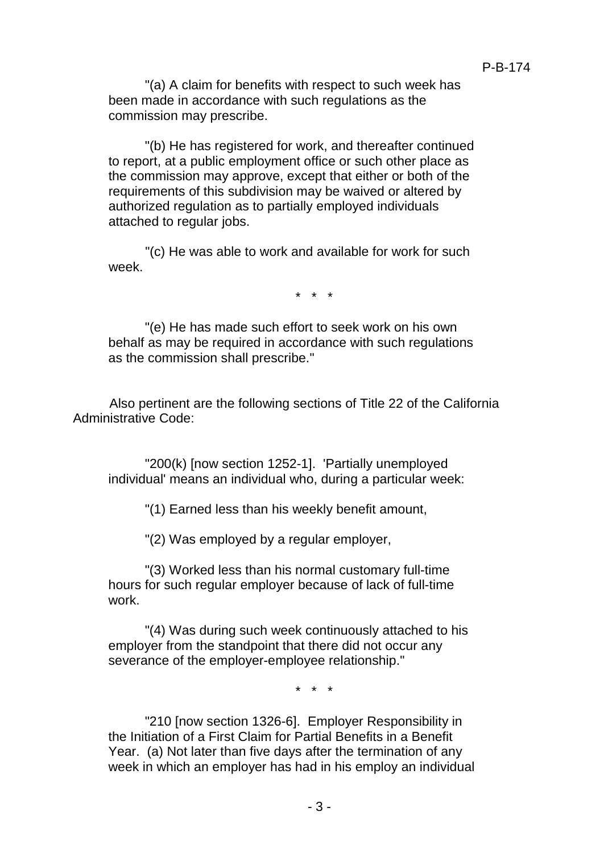"(a) A claim for benefits with respect to such week has been made in accordance with such regulations as the commission may prescribe.

"(b) He has registered for work, and thereafter continued to report, at a public employment office or such other place as the commission may approve, except that either or both of the requirements of this subdivision may be waived or altered by authorized regulation as to partially employed individuals attached to regular jobs.

"(c) He was able to work and available for work for such week.

\* \* \*

"(e) He has made such effort to seek work on his own behalf as may be required in accordance with such regulations as the commission shall prescribe."

Also pertinent are the following sections of Title 22 of the California Administrative Code:

"200(k) [now section 1252-1]. 'Partially unemployed individual' means an individual who, during a particular week:

"(1) Earned less than his weekly benefit amount,

"(2) Was employed by a regular employer,

"(3) Worked less than his normal customary full-time hours for such regular employer because of lack of full-time work.

"(4) Was during such week continuously attached to his employer from the standpoint that there did not occur any severance of the employer-employee relationship."

\* \* \*

"210 [now section 1326-6]. Employer Responsibility in the Initiation of a First Claim for Partial Benefits in a Benefit Year. (a) Not later than five days after the termination of any week in which an employer has had in his employ an individual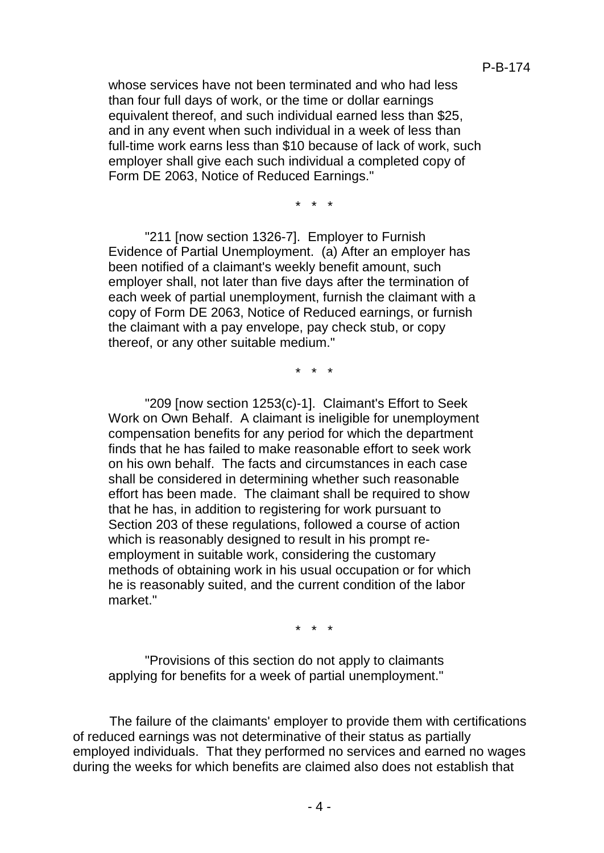whose services have not been terminated and who had less than four full days of work, or the time or dollar earnings equivalent thereof, and such individual earned less than \$25, and in any event when such individual in a week of less than full-time work earns less than \$10 because of lack of work, such employer shall give each such individual a completed copy of Form DE 2063, Notice of Reduced Earnings."

\* \* \*

"211 [now section 1326-7]. Employer to Furnish Evidence of Partial Unemployment. (a) After an employer has been notified of a claimant's weekly benefit amount, such employer shall, not later than five days after the termination of each week of partial unemployment, furnish the claimant with a copy of Form DE 2063, Notice of Reduced earnings, or furnish the claimant with a pay envelope, pay check stub, or copy thereof, or any other suitable medium."

\* \* \*

"209 [now section 1253(c)-1]. Claimant's Effort to Seek Work on Own Behalf. A claimant is ineligible for unemployment compensation benefits for any period for which the department finds that he has failed to make reasonable effort to seek work on his own behalf. The facts and circumstances in each case shall be considered in determining whether such reasonable effort has been made. The claimant shall be required to show that he has, in addition to registering for work pursuant to Section 203 of these regulations, followed a course of action which is reasonably designed to result in his prompt reemployment in suitable work, considering the customary methods of obtaining work in his usual occupation or for which he is reasonably suited, and the current condition of the labor market."

\* \* \*

"Provisions of this section do not apply to claimants applying for benefits for a week of partial unemployment."

The failure of the claimants' employer to provide them with certifications of reduced earnings was not determinative of their status as partially employed individuals. That they performed no services and earned no wages during the weeks for which benefits are claimed also does not establish that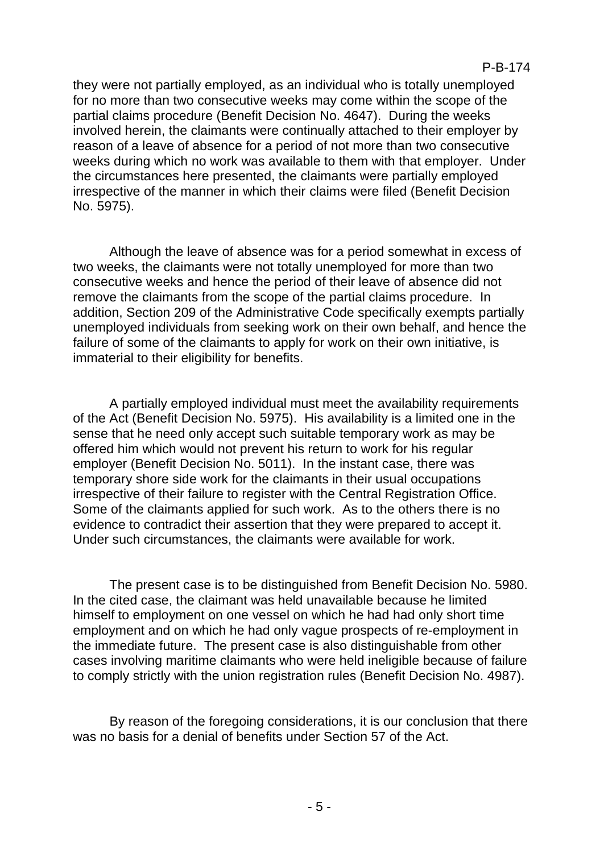they were not partially employed, as an individual who is totally unemployed for no more than two consecutive weeks may come within the scope of the partial claims procedure (Benefit Decision No. 4647). During the weeks involved herein, the claimants were continually attached to their employer by reason of a leave of absence for a period of not more than two consecutive weeks during which no work was available to them with that employer. Under the circumstances here presented, the claimants were partially employed irrespective of the manner in which their claims were filed (Benefit Decision No. 5975).

Although the leave of absence was for a period somewhat in excess of two weeks, the claimants were not totally unemployed for more than two consecutive weeks and hence the period of their leave of absence did not remove the claimants from the scope of the partial claims procedure. In addition, Section 209 of the Administrative Code specifically exempts partially unemployed individuals from seeking work on their own behalf, and hence the failure of some of the claimants to apply for work on their own initiative, is immaterial to their eligibility for benefits.

A partially employed individual must meet the availability requirements of the Act (Benefit Decision No. 5975). His availability is a limited one in the sense that he need only accept such suitable temporary work as may be offered him which would not prevent his return to work for his regular employer (Benefit Decision No. 5011). In the instant case, there was temporary shore side work for the claimants in their usual occupations irrespective of their failure to register with the Central Registration Office. Some of the claimants applied for such work. As to the others there is no evidence to contradict their assertion that they were prepared to accept it. Under such circumstances, the claimants were available for work.

The present case is to be distinguished from Benefit Decision No. 5980. In the cited case, the claimant was held unavailable because he limited himself to employment on one vessel on which he had had only short time employment and on which he had only vague prospects of re-employment in the immediate future. The present case is also distinguishable from other cases involving maritime claimants who were held ineligible because of failure to comply strictly with the union registration rules (Benefit Decision No. 4987).

By reason of the foregoing considerations, it is our conclusion that there was no basis for a denial of benefits under Section 57 of the Act.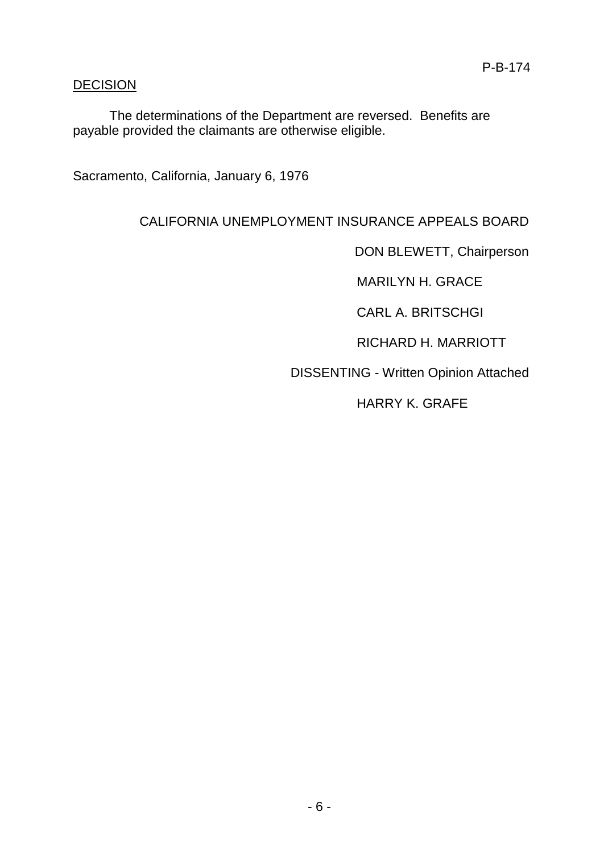## **DECISION**

The determinations of the Department are reversed. Benefits are payable provided the claimants are otherwise eligible.

Sacramento, California, January 6, 1976

# CALIFORNIA UNEMPLOYMENT INSURANCE APPEALS BOARD

DON BLEWETT, Chairperson

MARILYN H. GRACE

CARL A. BRITSCHGI

RICHARD H. MARRIOTT

DISSENTING - Written Opinion Attached

HARRY K. GRAFE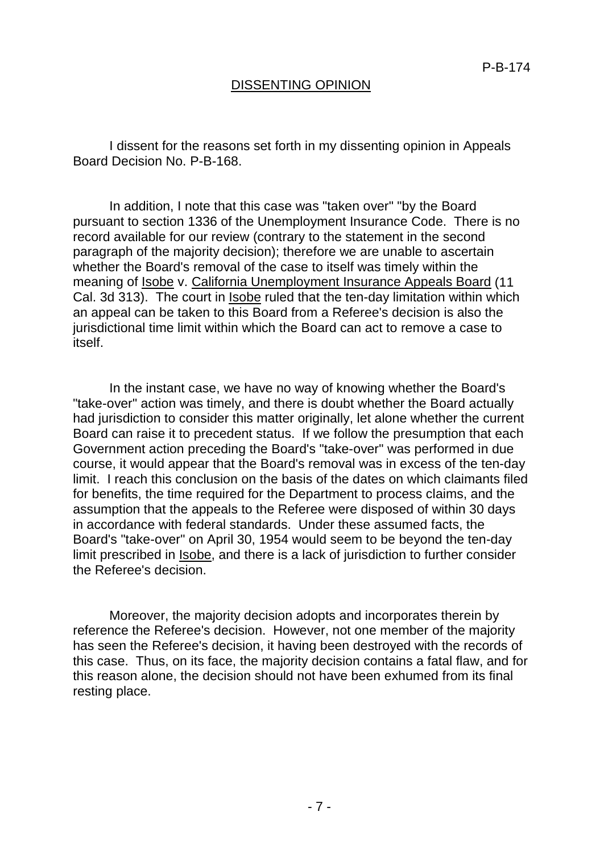### DISSENTING OPINION

I dissent for the reasons set forth in my dissenting opinion in Appeals Board Decision No. P-B-168.

In addition, I note that this case was "taken over" "by the Board pursuant to section 1336 of the Unemployment Insurance Code. There is no record available for our review (contrary to the statement in the second paragraph of the majority decision); therefore we are unable to ascertain whether the Board's removal of the case to itself was timely within the meaning of Isobe v. California Unemployment Insurance Appeals Board (11 Cal. 3d 313). The court in Isobe ruled that the ten-day limitation within which an appeal can be taken to this Board from a Referee's decision is also the jurisdictional time limit within which the Board can act to remove a case to itself.

In the instant case, we have no way of knowing whether the Board's "take-over" action was timely, and there is doubt whether the Board actually had jurisdiction to consider this matter originally, let alone whether the current Board can raise it to precedent status. If we follow the presumption that each Government action preceding the Board's "take-over" was performed in due course, it would appear that the Board's removal was in excess of the ten-day limit. I reach this conclusion on the basis of the dates on which claimants filed for benefits, the time required for the Department to process claims, and the assumption that the appeals to the Referee were disposed of within 30 days in accordance with federal standards. Under these assumed facts, the Board's "take-over" on April 30, 1954 would seem to be beyond the ten-day limit prescribed in Isobe, and there is a lack of jurisdiction to further consider the Referee's decision.

Moreover, the majority decision adopts and incorporates therein by reference the Referee's decision. However, not one member of the majority has seen the Referee's decision, it having been destroyed with the records of this case. Thus, on its face, the majority decision contains a fatal flaw, and for this reason alone, the decision should not have been exhumed from its final resting place.